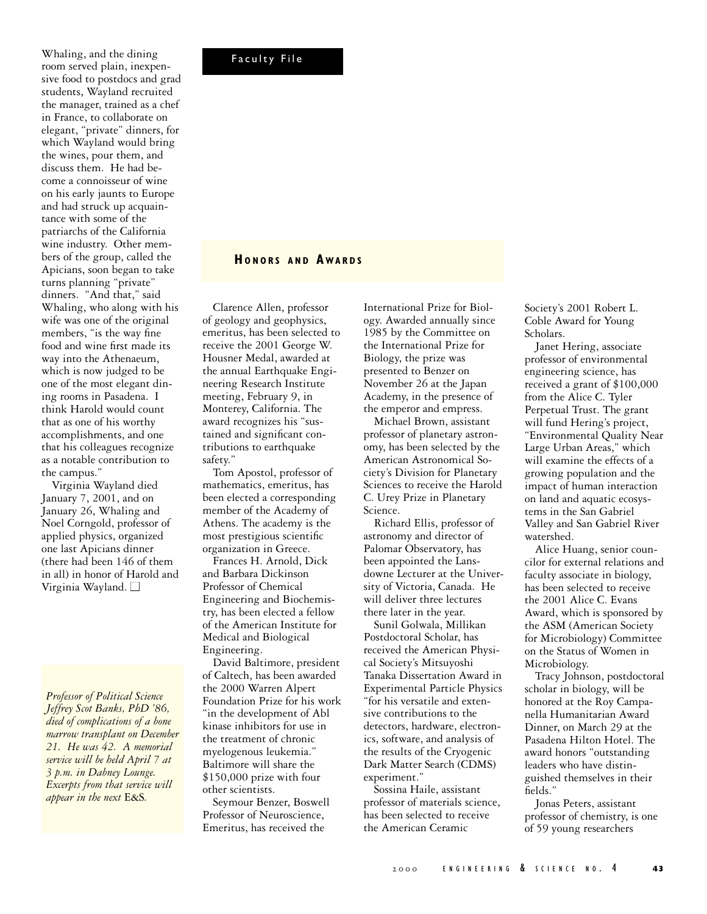Faculty File

sive food to postdocs and grad students, Wayland recruited the manager, trained as a chef in France, to collaborate on elegant, "private" dinners, for which Wayland would bring the wines, pour them, and discuss them. He had become a connoisseur of wine on his early jaunts to Europe and had struck up acquaintance with some of the patriarchs of the California wine industry. Other members of the group, called the Apicians, soon began to take turns planning "private" dinners. "And that," said Whaling, who along with his wife was one of the original members, "is the way fine food and wine first made its way into the Athenaeum, which is now judged to be one of the most elegant dining rooms in Pasadena. I think Harold would count that as one of his worthy accomplishments, and one that his colleagues recognize as a notable contribution to the campus."

Whaling, and the dining room served plain, inexpen-

Virginia Wayland died January 7, 2001, and on January 26, Whaling and Noel Corngold, professor of applied physics, organized one last Apicians dinner (there had been 146 of them in all) in honor of Harold and Virginia Wayland. □

*Professor of Political Science Jeffrey Scot Banks, PhD '86, died of complications of a bone marrow transplant on December 21. He was 42. A memorial service will be held April 7 at 3 p.m. in Dabney Lounge. Excerpts from that service will appear in the next* E&S*.*

## **HO N O R S A N D A WA R D S**

Clarence Allen, professor of geology and geophysics, emeritus, has been selected to receive the 2001 George W. Housner Medal, awarded at the annual Earthquake Engineering Research Institute meeting, February 9, in Monterey, California. The award recognizes his "sustained and significant contributions to earthquake safety."

Tom Apostol, professor of mathematics, emeritus, has been elected a corresponding member of the Academy of Athens. The academy is the most prestigious scientific organization in Greece.

Frances H. Arnold, Dick and Barbara Dickinson Professor of Chemical Engineering and Biochemistry, has been elected a fellow of the American Institute for Medical and Biological Engineering.

David Baltimore, president of Caltech, has been awarded the 2000 Warren Alpert Foundation Prize for his work "in the development of Abl kinase inhibitors for use in the treatment of chronic myelogenous leukemia." Baltimore will share the \$150,000 prize with four other scientists.

Seymour Benzer, Boswell Professor of Neuroscience, Emeritus, has received the

International Prize for Biology. Awarded annually since 1985 by the Committee on the International Prize for Biology, the prize was presented to Benzer on November 26 at the Japan Academy, in the presence of the emperor and empress.

Michael Brown, assistant professor of planetary astronomy, has been selected by the American Astronomical Society's Division for Planetary Sciences to receive the Harold C. Urey Prize in Planetary Science.

Richard Ellis, professor of astronomy and director of Palomar Observatory, has been appointed the Lansdowne Lecturer at the University of Victoria, Canada. He will deliver three lectures there later in the year.

Sunil Golwala, Millikan Postdoctoral Scholar, has received the American Physical Society's Mitsuyoshi Tanaka Dissertation Award in Experimental Particle Physics "for his versatile and extensive contributions to the detectors, hardware, electronics, software, and analysis of the results of the Cryogenic Dark Matter Search (CDMS) experiment."

Sossina Haile, assistant professor of materials science, has been selected to receive the American Ceramic

Society's 2001 Robert L. Coble Award for Young Scholars.

Janet Hering, associate professor of environmental engineering science, has received a grant of \$100,000 from the Alice C. Tyler Perpetual Trust. The grant will fund Hering's project, "Environmental Quality Near Large Urban Areas," which will examine the effects of a growing population and the impact of human interaction on land and aquatic ecosystems in the San Gabriel Valley and San Gabriel River watershed.

Alice Huang, senior councilor for external relations and faculty associate in biology, has been selected to receive the 2001 Alice C. Evans Award, which is sponsored by the ASM (American Society for Microbiology) Committee on the Status of Women in Microbiology.

Tracy Johnson, postdoctoral scholar in biology, will be honored at the Roy Campanella Humanitarian Award Dinner, on March 29 at the Pasadena Hilton Hotel. The award honors "outstanding leaders who have distinguished themselves in their fields."

Jonas Peters, assistant professor of chemistry, is one of 59 young researchers